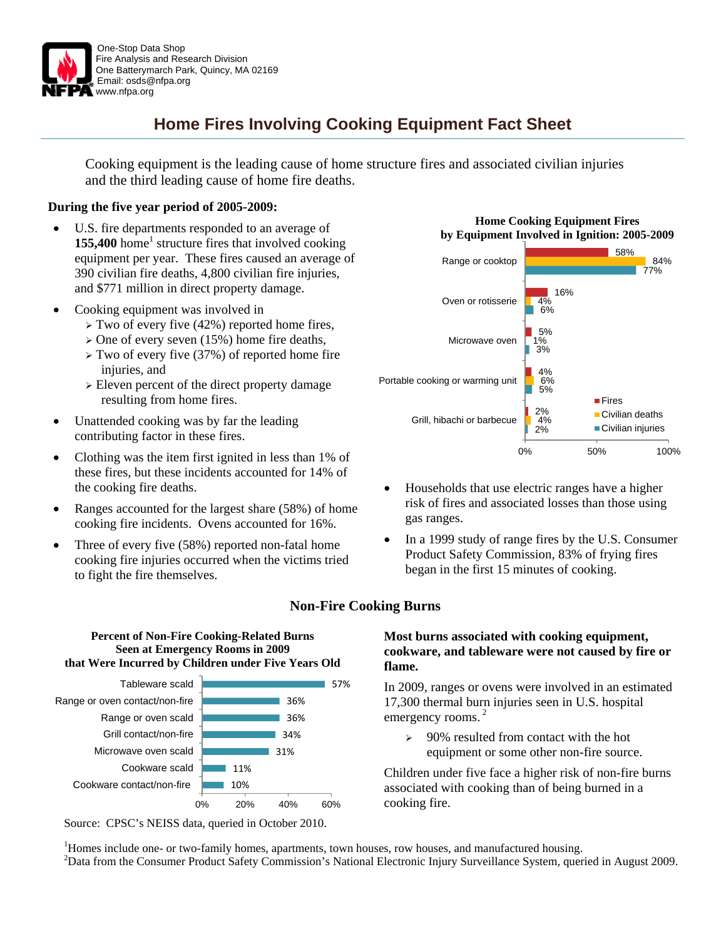

## **Home Fires Involving Cooking Equipment Fact Sheet**

Cooking equipment is the leading cause of home structure fires and associated civilian injuries and the third leading cause of home fire deaths.

#### **During the five year period of 2005-2009:**

- U.S. fire departments responded to an average of 155,400 home<sup>1</sup> structure fires that involved cooking equipment per year. These fires caused an average of 390 civilian fire deaths, 4,800 civilian fire injuries, and \$771 million in direct property damage.
- Cooking equipment was involved in
	- $\triangleright$  Two of every five (42%) reported home fires,
	- $\geq$  One of every seven (15%) home fire deaths,
	- $\triangleright$  Two of every five (37%) of reported home fire injuries, and
	- $\geq$  Eleven percent of the direct property damage resulting from home fires.
- Unattended cooking was by far the leading contributing factor in these fires.
- Clothing was the item first ignited in less than 1% of these fires, but these incidents accounted for 14% of the cooking fire deaths.
- Ranges accounted for the largest share (58%) of home cooking fire incidents. Ovens accounted for 16%.
- Three of every five (58%) reported non-fatal home cooking fire injuries occurred when the victims tried to fight the fire themselves.





Source: CPSC's NEISS data, queried in October 2010.

#### **Home Cooking Equipment Fires by Equipment Involved in Ignition: 2005-2009**



- Households that use electric ranges have a higher risk of fires and associated losses than those using gas ranges.
- In a 1999 study of range fires by the U.S. Consumer Product Safety Commission, 83% of frying fires began in the first 15 minutes of cooking.

## **Most burns associated with cooking equipment, cookware, and tableware were not caused by fire or flame.**

In 2009, ranges or ovens were involved in an estimated 17,300 thermal burn injuries seen in U.S. hospital emergency rooms.<sup>2</sup>

¾ 90% resulted from contact with the hot equipment or some other non-fire source.

Children under five face a higher risk of non-fire burns associated with cooking than of being burned in a cooking fire.

<sup>1</sup>Homes include one- or two-family homes, apartments, town houses, row houses, and manufactured housing.<br><sup>2</sup>Dete from the Consumer Broduct Sofety Commission's National Electronic Injury Surveillance System, sucri <sup>2</sup>Data from the Consumer Product Safety Commission's National Electronic Injury Surveillance System, queried in August 2009.

## **Non-Fire Cooking Burns**